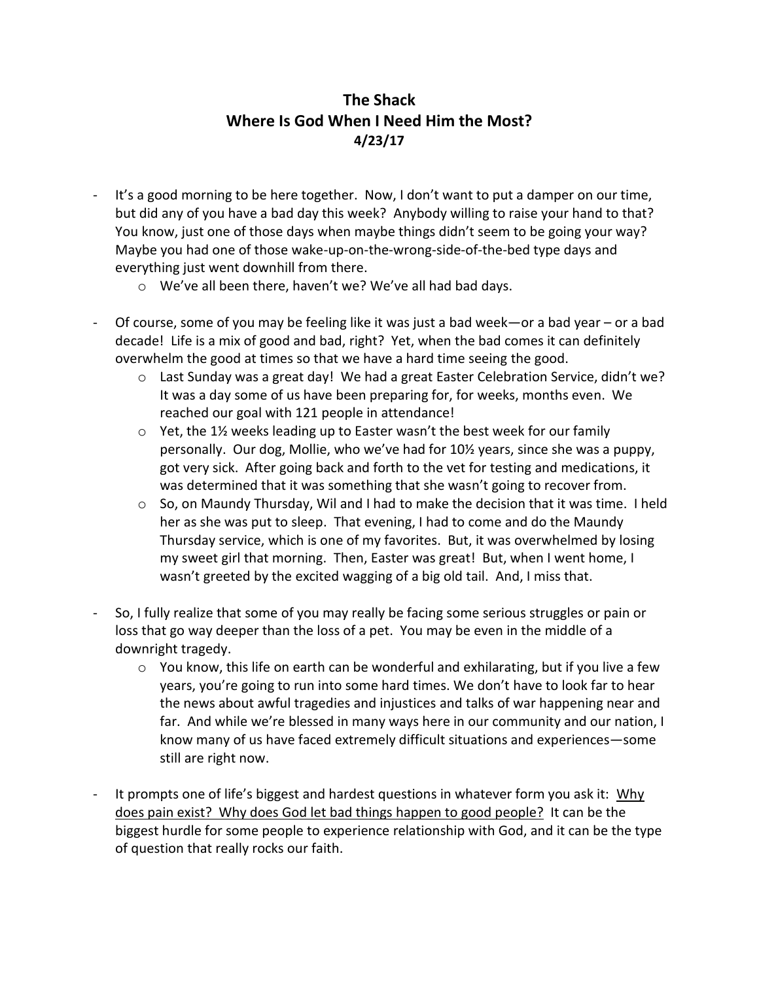## **The Shack Where Is God When I Need Him the Most? 4/23/17**

- It's a good morning to be here together. Now, I don't want to put a damper on our time, but did any of you have a bad day this week? Anybody willing to raise your hand to that? You know, just one of those days when maybe things didn't seem to be going your way? Maybe you had one of those wake-up-on-the-wrong-side-of-the-bed type days and everything just went downhill from there.
	- o We've all been there, haven't we? We've all had bad days.
- Of course, some of you may be feeling like it was just a bad week—or a bad year or a bad decade! Life is a mix of good and bad, right? Yet, when the bad comes it can definitely overwhelm the good at times so that we have a hard time seeing the good.
	- $\circ$  Last Sunday was a great day! We had a great Easter Celebration Service, didn't we? It was a day some of us have been preparing for, for weeks, months even. We reached our goal with 121 people in attendance!
	- o Yet, the 1½ weeks leading up to Easter wasn't the best week for our family personally. Our dog, Mollie, who we've had for 10½ years, since she was a puppy, got very sick. After going back and forth to the vet for testing and medications, it was determined that it was something that she wasn't going to recover from.
	- o So, on Maundy Thursday, Wil and I had to make the decision that it was time. I held her as she was put to sleep. That evening, I had to come and do the Maundy Thursday service, which is one of my favorites. But, it was overwhelmed by losing my sweet girl that morning. Then, Easter was great! But, when I went home, I wasn't greeted by the excited wagging of a big old tail. And, I miss that.
- So, I fully realize that some of you may really be facing some serious struggles or pain or loss that go way deeper than the loss of a pet. You may be even in the middle of a downright tragedy.
	- $\circ$  You know, this life on earth can be wonderful and exhilarating, but if you live a few years, you're going to run into some hard times. We don't have to look far to hear the news about awful tragedies and injustices and talks of war happening near and far. And while we're blessed in many ways here in our community and our nation, I know many of us have faced extremely difficult situations and experiences—some still are right now.
- It prompts one of life's biggest and hardest questions in whatever form you ask it: Why does pain exist? Why does God let bad things happen to good people? It can be the biggest hurdle for some people to experience relationship with God, and it can be the type of question that really rocks our faith.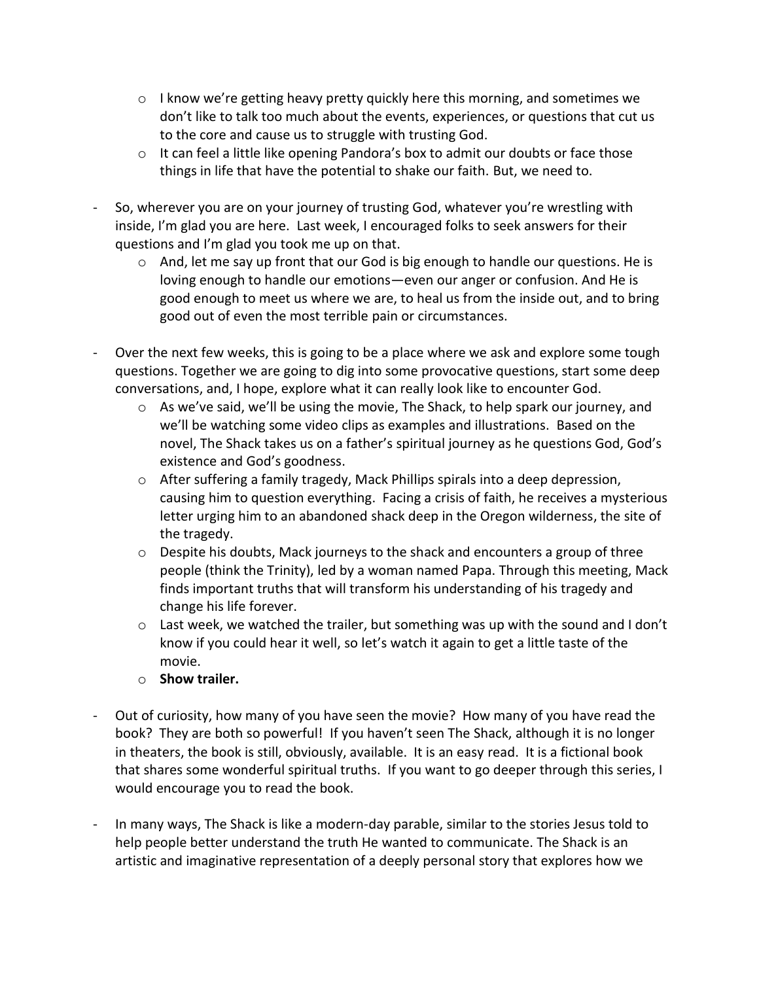- $\circ$  I know we're getting heavy pretty quickly here this morning, and sometimes we don't like to talk too much about the events, experiences, or questions that cut us to the core and cause us to struggle with trusting God.
- $\circ$  It can feel a little like opening Pandora's box to admit our doubts or face those things in life that have the potential to shake our faith. But, we need to.
- So, wherever you are on your journey of trusting God, whatever you're wrestling with inside, I'm glad you are here. Last week, I encouraged folks to seek answers for their questions and I'm glad you took me up on that.
	- $\circ$  And, let me say up front that our God is big enough to handle our questions. He is loving enough to handle our emotions—even our anger or confusion. And He is good enough to meet us where we are, to heal us from the inside out, and to bring good out of even the most terrible pain or circumstances.
- Over the next few weeks, this is going to be a place where we ask and explore some tough questions. Together we are going to dig into some provocative questions, start some deep conversations, and, I hope, explore what it can really look like to encounter God.
	- $\circ$  As we've said, we'll be using the movie, The Shack, to help spark our journey, and we'll be watching some video clips as examples and illustrations. Based on the novel, The Shack takes us on a father's spiritual journey as he questions God, God's existence and God's goodness.
	- o After suffering a family tragedy, Mack Phillips spirals into a deep depression, causing him to question everything. Facing a crisis of faith, he receives a mysterious letter urging him to an abandoned shack deep in the Oregon wilderness, the site of the tragedy.
	- $\circ$  Despite his doubts, Mack journeys to the shack and encounters a group of three people (think the Trinity), led by a woman named Papa. Through this meeting, Mack finds important truths that will transform his understanding of his tragedy and change his life forever.
	- $\circ$  Last week, we watched the trailer, but something was up with the sound and I don't know if you could hear it well, so let's watch it again to get a little taste of the movie.
	- o **Show trailer.**
- Out of curiosity, how many of you have seen the movie? How many of you have read the book? They are both so powerful! If you haven't seen The Shack, although it is no longer in theaters, the book is still, obviously, available. It is an easy read. It is a fictional book that shares some wonderful spiritual truths. If you want to go deeper through this series, I would encourage you to read the book.
- In many ways, The Shack is like a modern-day parable, similar to the stories Jesus told to help people better understand the truth He wanted to communicate. The Shack is an artistic and imaginative representation of a deeply personal story that explores how we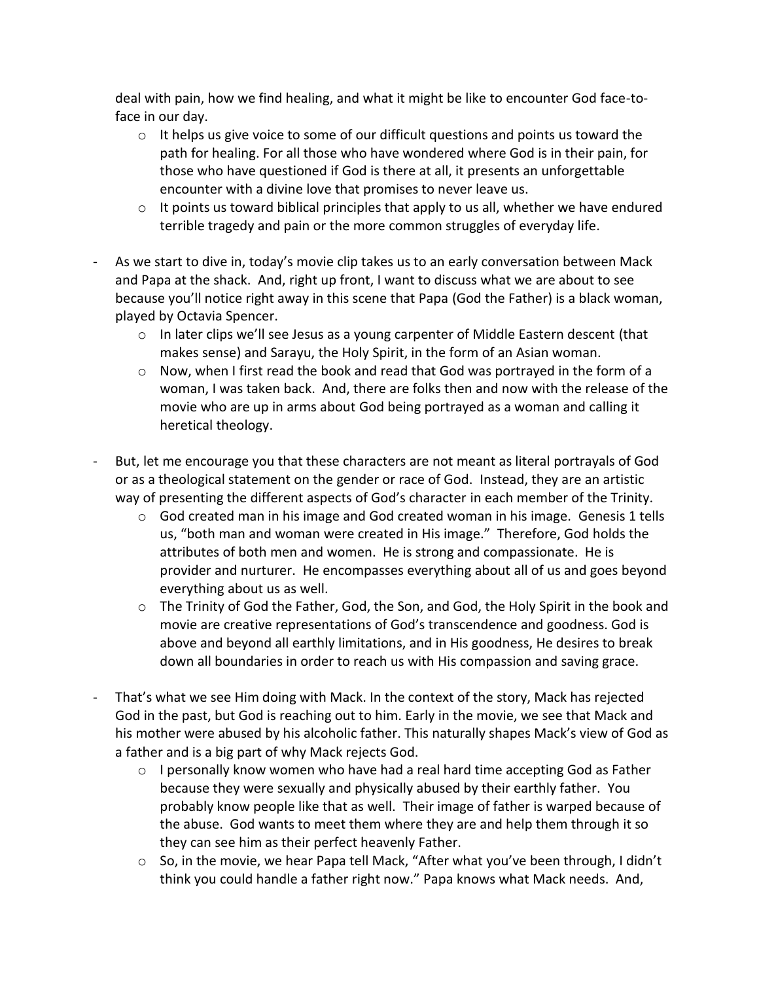deal with pain, how we find healing, and what it might be like to encounter God face-toface in our day.

- $\circ$  It helps us give voice to some of our difficult questions and points us toward the path for healing. For all those who have wondered where God is in their pain, for those who have questioned if God is there at all, it presents an unforgettable encounter with a divine love that promises to never leave us.
- $\circ$  It points us toward biblical principles that apply to us all, whether we have endured terrible tragedy and pain or the more common struggles of everyday life.
- As we start to dive in, today's movie clip takes us to an early conversation between Mack and Papa at the shack. And, right up front, I want to discuss what we are about to see because you'll notice right away in this scene that Papa (God the Father) is a black woman, played by Octavia Spencer.
	- $\circ$  In later clips we'll see Jesus as a young carpenter of Middle Eastern descent (that makes sense) and Sarayu, the Holy Spirit, in the form of an Asian woman.
	- o Now, when I first read the book and read that God was portrayed in the form of a woman, I was taken back. And, there are folks then and now with the release of the movie who are up in arms about God being portrayed as a woman and calling it heretical theology.
- But, let me encourage you that these characters are not meant as literal portrayals of God or as a theological statement on the gender or race of God. Instead, they are an artistic way of presenting the different aspects of God's character in each member of the Trinity.
	- $\circ$  God created man in his image and God created woman in his image. Genesis 1 tells us, "both man and woman were created in His image." Therefore, God holds the attributes of both men and women. He is strong and compassionate. He is provider and nurturer. He encompasses everything about all of us and goes beyond everything about us as well.
	- o The Trinity of God the Father, God, the Son, and God, the Holy Spirit in the book and movie are creative representations of God's transcendence and goodness. God is above and beyond all earthly limitations, and in His goodness, He desires to break down all boundaries in order to reach us with His compassion and saving grace.
- That's what we see Him doing with Mack. In the context of the story, Mack has rejected God in the past, but God is reaching out to him. Early in the movie, we see that Mack and his mother were abused by his alcoholic father. This naturally shapes Mack's view of God as a father and is a big part of why Mack rejects God.
	- o I personally know women who have had a real hard time accepting God as Father because they were sexually and physically abused by their earthly father. You probably know people like that as well. Their image of father is warped because of the abuse. God wants to meet them where they are and help them through it so they can see him as their perfect heavenly Father.
	- $\circ$  So, in the movie, we hear Papa tell Mack, "After what you've been through, I didn't think you could handle a father right now." Papa knows what Mack needs. And,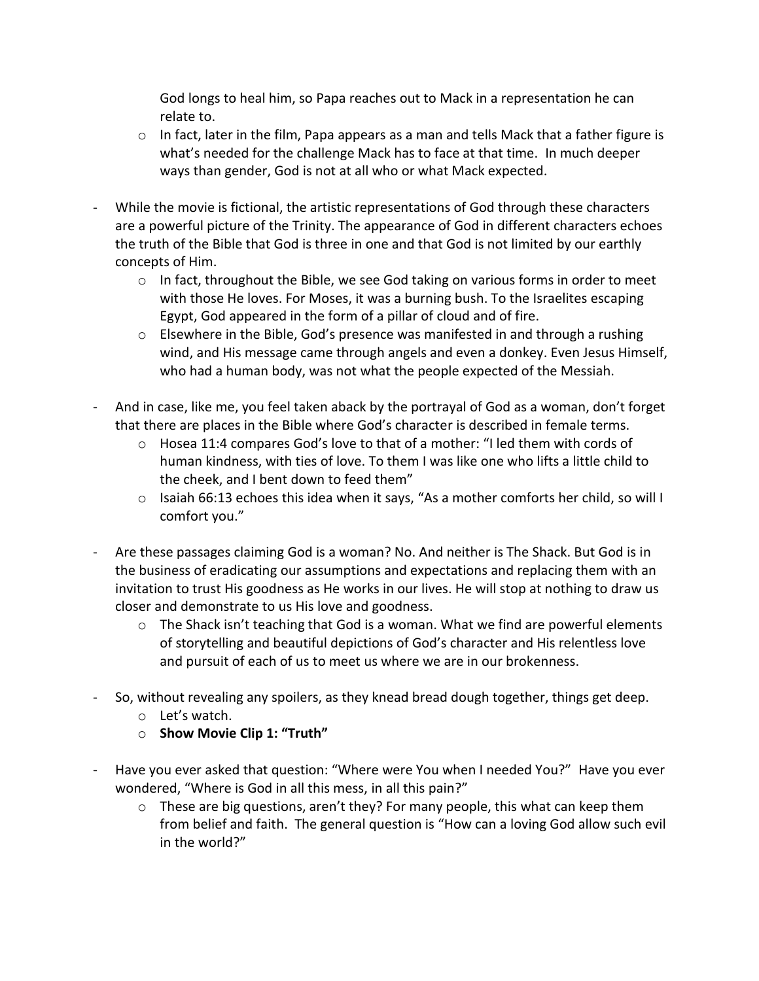God longs to heal him, so Papa reaches out to Mack in a representation he can relate to.

- $\circ$  In fact, later in the film, Papa appears as a man and tells Mack that a father figure is what's needed for the challenge Mack has to face at that time. In much deeper ways than gender, God is not at all who or what Mack expected.
- While the movie is fictional, the artistic representations of God through these characters are a powerful picture of the Trinity. The appearance of God in different characters echoes the truth of the Bible that God is three in one and that God is not limited by our earthly concepts of Him.
	- $\circ$  In fact, throughout the Bible, we see God taking on various forms in order to meet with those He loves. For Moses, it was a burning bush. To the Israelites escaping Egypt, God appeared in the form of a pillar of cloud and of fire.
	- $\circ$  Elsewhere in the Bible, God's presence was manifested in and through a rushing wind, and His message came through angels and even a donkey. Even Jesus Himself, who had a human body, was not what the people expected of the Messiah.
- And in case, like me, you feel taken aback by the portrayal of God as a woman, don't forget that there are places in the Bible where God's character is described in female terms.
	- $\circ$  Hosea 11:4 compares God's love to that of a mother: "I led them with cords of human kindness, with ties of love. To them I was like one who lifts a little child to the cheek, and I bent down to feed them"
	- o Isaiah 66:13 echoes this idea when it says, "As a mother comforts her child, so will I comfort you."
- Are these passages claiming God is a woman? No. And neither is The Shack. But God is in the business of eradicating our assumptions and expectations and replacing them with an invitation to trust His goodness as He works in our lives. He will stop at nothing to draw us closer and demonstrate to us His love and goodness.
	- $\circ$  The Shack isn't teaching that God is a woman. What we find are powerful elements of storytelling and beautiful depictions of God's character and His relentless love and pursuit of each of us to meet us where we are in our brokenness.
- So, without revealing any spoilers, as they knead bread dough together, things get deep.
	- o Let's watch.
	- o **Show Movie Clip 1: "Truth"**
- Have you ever asked that question: "Where were You when I needed You?" Have you ever wondered, "Where is God in all this mess, in all this pain?"
	- $\circ$  These are big questions, aren't they? For many people, this what can keep them from belief and faith. The general question is "How can a loving God allow such evil in the world?"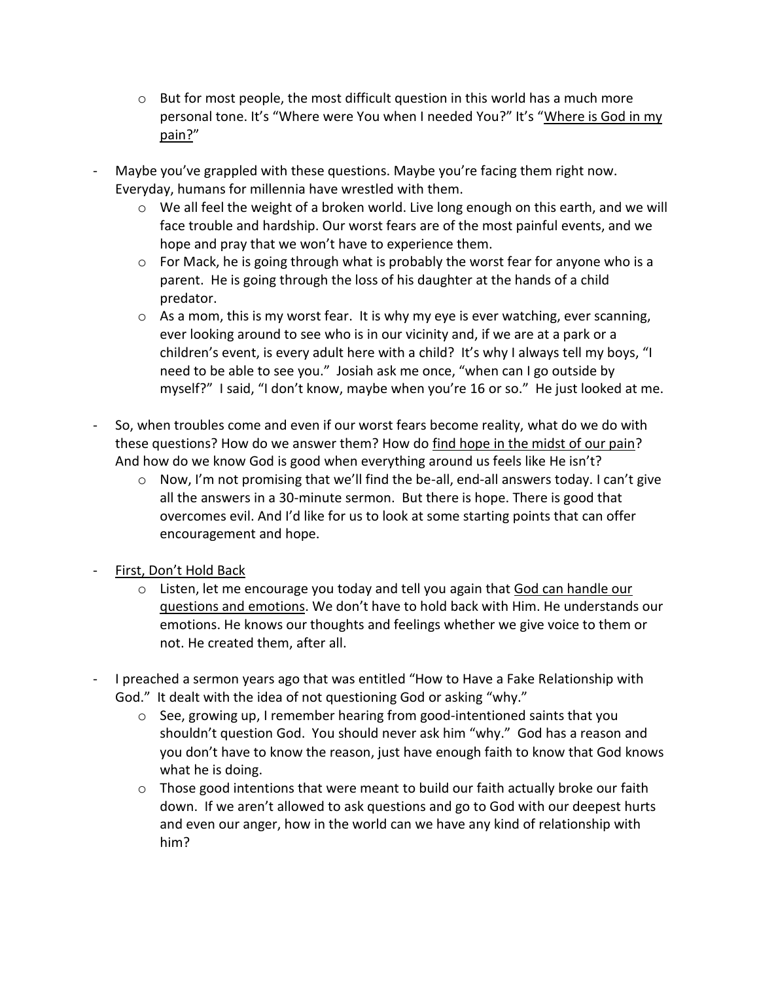- $\circ$  But for most people, the most difficult question in this world has a much more personal tone. It's "Where were You when I needed You?" It's "Where is God in my pain?"
- Maybe you've grappled with these questions. Maybe you're facing them right now. Everyday, humans for millennia have wrestled with them.
	- o We all feel the weight of a broken world. Live long enough on this earth, and we will face trouble and hardship. Our worst fears are of the most painful events, and we hope and pray that we won't have to experience them.
	- $\circ$  For Mack, he is going through what is probably the worst fear for anyone who is a parent. He is going through the loss of his daughter at the hands of a child predator.
	- $\circ$  As a mom, this is my worst fear. It is why my eye is ever watching, ever scanning, ever looking around to see who is in our vicinity and, if we are at a park or a children's event, is every adult here with a child? It's why I always tell my boys, "I need to be able to see you." Josiah ask me once, "when can I go outside by myself?" I said, "I don't know, maybe when you're 16 or so." He just looked at me.
- So, when troubles come and even if our worst fears become reality, what do we do with these questions? How do we answer them? How do find hope in the midst of our pain? And how do we know God is good when everything around us feels like He isn't?
	- $\circ$  Now, I'm not promising that we'll find the be-all, end-all answers today. I can't give all the answers in a 30-minute sermon. But there is hope. There is good that overcomes evil. And I'd like for us to look at some starting points that can offer encouragement and hope.
- First, Don't Hold Back
	- o Listen, let me encourage you today and tell you again that God can handle our questions and emotions. We don't have to hold back with Him. He understands our emotions. He knows our thoughts and feelings whether we give voice to them or not. He created them, after all.
- I preached a sermon years ago that was entitled "How to Have a Fake Relationship with God." It dealt with the idea of not questioning God or asking "why."
	- o See, growing up, I remember hearing from good-intentioned saints that you shouldn't question God. You should never ask him "why." God has a reason and you don't have to know the reason, just have enough faith to know that God knows what he is doing.
	- $\circ$  Those good intentions that were meant to build our faith actually broke our faith down. If we aren't allowed to ask questions and go to God with our deepest hurts and even our anger, how in the world can we have any kind of relationship with him?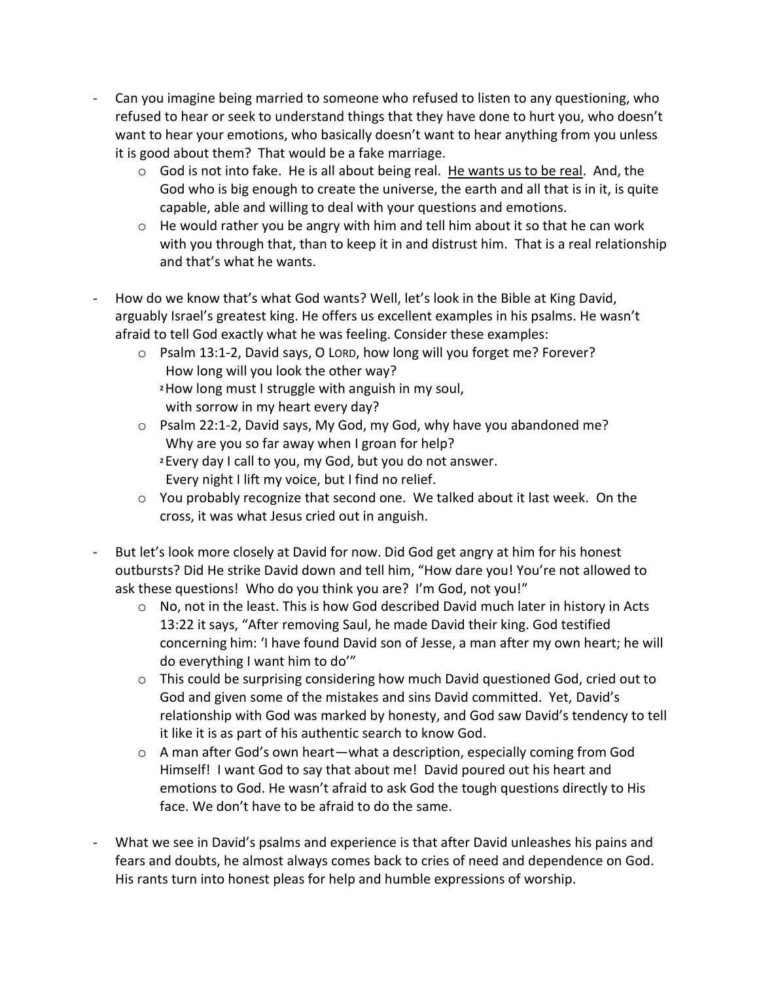- Can you imagine being married to someone who refused to listen to any questioning, who refused to hear or seek to understand things that they have done to hurt you, who doesn't want to hear your emotions, who basically doesn't want to hear anything from you unless it is good about them? That would be a fake marriage.
	- $\circ$  God is not into fake. He is all about being real. He wants us to be real. And, the God who is big enough to create the universe, the earth and all that is in it, is quite capable, able and willing to deal with your questions and emotions.
	- o He would rather you be angry with him and tell him about it so that he can work with you through that, than to keep it in and distrust him. That is a real relationship and that's what he wants.
- How do we know that's what God wants? Well, let's look in the Bible at King David, arguably Israel's greatest king. He offers us excellent examples in his psalms. He wasn't afraid to tell God exactly what he was feeling. Consider these examples:
	- o Psalm 13:1-2, David says, O LORD, how long will you forget me? Forever? How long will you look the other way? **<sup>2</sup>**How long must I struggle with anguish in my soul, with sorrow in my heart every day?
	- o Psalm 22:1-2, David says, My God, my God, why have you abandoned me? Why are you so far away when I groan for help? **<sup>2</sup>** Every day I call to you, my God, but you do not answer. Every night I lift my voice, but I find no relief.
	- o You probably recognize that second one. We talked about it last week. On the cross, it was what Jesus cried out in anguish.
- But let's look more closely at David for now. Did God get angry at him for his honest outbursts? Did He strike David down and tell him, "How dare you! You're not allowed to ask these questions! Who do you think you are? I'm God, not you!"
	- o No, not in the least. This is how God described David much later in history in Acts 13:22 it says, "After removing Saul, he made David their king. God testified concerning him: 'I have found David son of Jesse, a man after my own heart; he will do everything I want him to do'"
	- o This could be surprising considering how much David questioned God, cried out to God and given some of the mistakes and sins David committed. Yet, David's relationship with God was marked by honesty, and God saw David's tendency to tell it like it is as part of his authentic search to know God.
	- o A man after God's own heart—what a description, especially coming from God Himself! I want God to say that about me! David poured out his heart and emotions to God. He wasn't afraid to ask God the tough questions directly to His face. We don't have to be afraid to do the same.
- What we see in David's psalms and experience is that after David unleashes his pains and fears and doubts, he almost always comes back to cries of need and dependence on God. His rants turn into honest pleas for help and humble expressions of worship.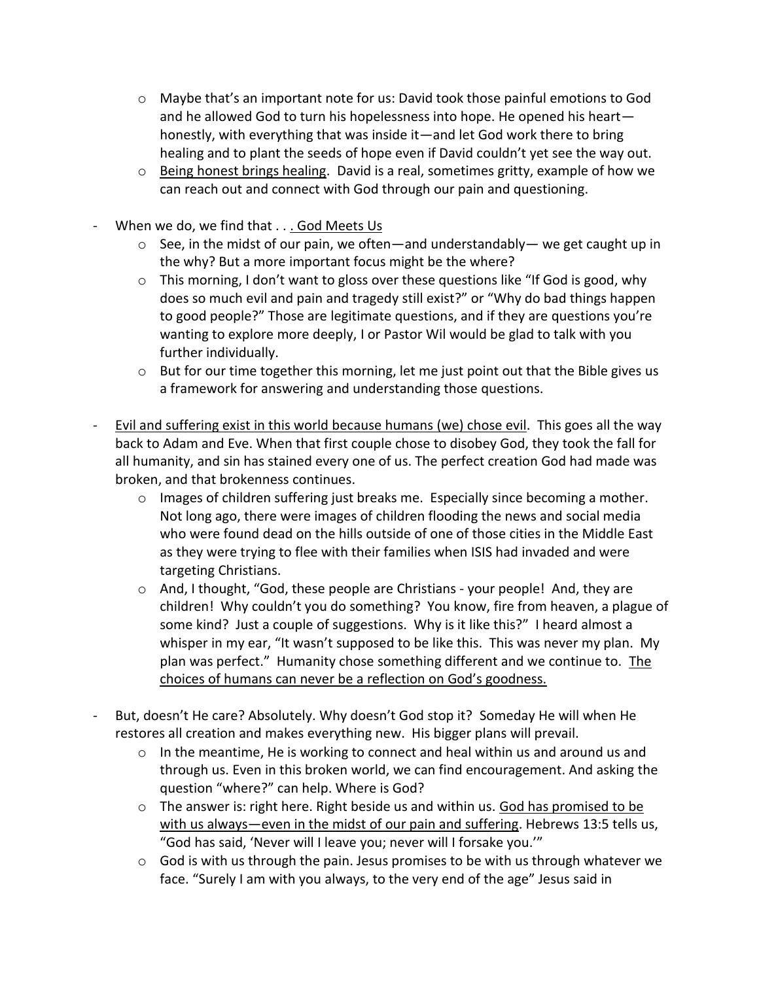- o Maybe that's an important note for us: David took those painful emotions to God and he allowed God to turn his hopelessness into hope. He opened his heart honestly, with everything that was inside it—and let God work there to bring healing and to plant the seeds of hope even if David couldn't yet see the way out.
- o Being honest brings healing. David is a real, sometimes gritty, example of how we can reach out and connect with God through our pain and questioning.
- When we do, we find that . . . God Meets Us
	- $\circ$  See, in the midst of our pain, we often—and understandably— we get caught up in the why? But a more important focus might be the where?
	- $\circ$  This morning, I don't want to gloss over these questions like "If God is good, why does so much evil and pain and tragedy still exist?" or "Why do bad things happen to good people?" Those are legitimate questions, and if they are questions you're wanting to explore more deeply, I or Pastor Wil would be glad to talk with you further individually.
	- $\circ$  But for our time together this morning, let me just point out that the Bible gives us a framework for answering and understanding those questions.
- Evil and suffering exist in this world because humans (we) chose evil. This goes all the way back to Adam and Eve. When that first couple chose to disobey God, they took the fall for all humanity, and sin has stained every one of us. The perfect creation God had made was broken, and that brokenness continues.
	- $\circ$  Images of children suffering just breaks me. Especially since becoming a mother. Not long ago, there were images of children flooding the news and social media who were found dead on the hills outside of one of those cities in the Middle East as they were trying to flee with their families when ISIS had invaded and were targeting Christians.
	- o And, I thought, "God, these people are Christians your people! And, they are children! Why couldn't you do something? You know, fire from heaven, a plague of some kind? Just a couple of suggestions. Why is it like this?" I heard almost a whisper in my ear, "It wasn't supposed to be like this. This was never my plan. My plan was perfect." Humanity chose something different and we continue to. The choices of humans can never be a reflection on God's goodness.
- But, doesn't He care? Absolutely. Why doesn't God stop it? Someday He will when He restores all creation and makes everything new. His bigger plans will prevail.
	- $\circ$  In the meantime, He is working to connect and heal within us and around us and through us. Even in this broken world, we can find encouragement. And asking the question "where?" can help. Where is God?
	- $\circ$  The answer is: right here. Right beside us and within us. God has promised to be with us always—even in the midst of our pain and suffering. Hebrews 13:5 tells us, "God has said, 'Never will I leave you; never will I forsake you.'"
	- $\circ$  God is with us through the pain. Jesus promises to be with us through whatever we face. "Surely I am with you always, to the very end of the age" Jesus said in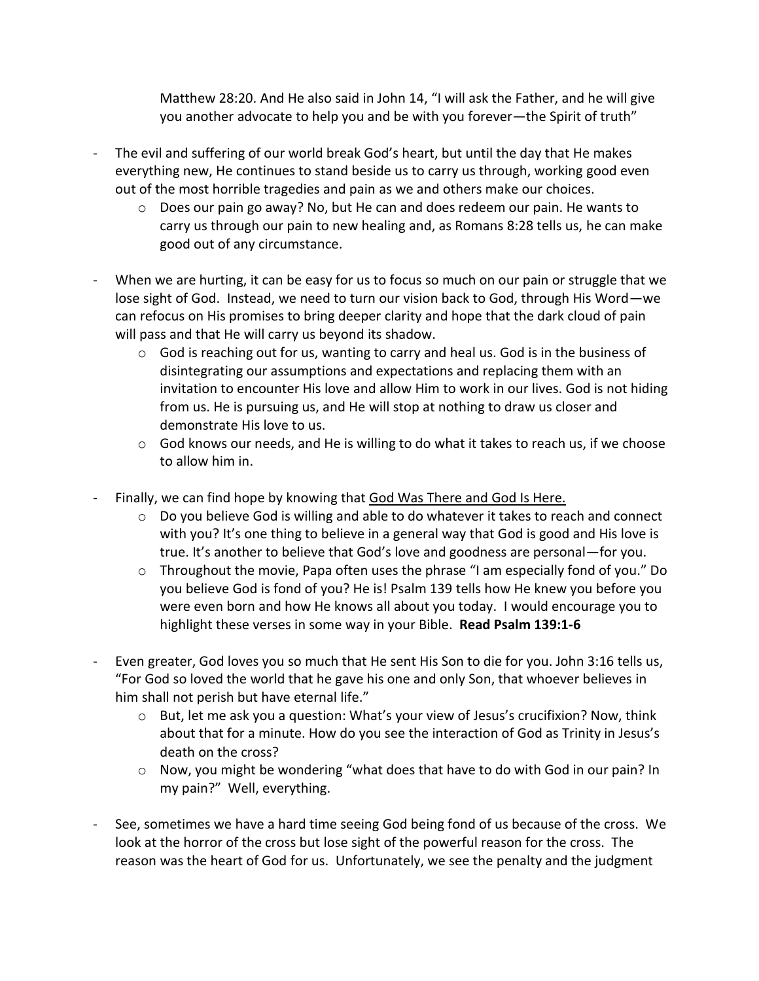Matthew 28:20. And He also said in John 14, "I will ask the Father, and he will give you another advocate to help you and be with you forever—the Spirit of truth"

- The evil and suffering of our world break God's heart, but until the day that He makes everything new, He continues to stand beside us to carry us through, working good even out of the most horrible tragedies and pain as we and others make our choices.
	- o Does our pain go away? No, but He can and does redeem our pain. He wants to carry us through our pain to new healing and, as Romans 8:28 tells us, he can make good out of any circumstance.
- When we are hurting, it can be easy for us to focus so much on our pain or struggle that we lose sight of God. Instead, we need to turn our vision back to God, through His Word—we can refocus on His promises to bring deeper clarity and hope that the dark cloud of pain will pass and that He will carry us beyond its shadow.
	- $\circ$  God is reaching out for us, wanting to carry and heal us. God is in the business of disintegrating our assumptions and expectations and replacing them with an invitation to encounter His love and allow Him to work in our lives. God is not hiding from us. He is pursuing us, and He will stop at nothing to draw us closer and demonstrate His love to us.
	- $\circ$  God knows our needs, and He is willing to do what it takes to reach us, if we choose to allow him in.
- Finally, we can find hope by knowing that God Was There and God Is Here.
	- $\circ$  Do you believe God is willing and able to do whatever it takes to reach and connect with you? It's one thing to believe in a general way that God is good and His love is true. It's another to believe that God's love and goodness are personal—for you.
	- $\circ$  Throughout the movie, Papa often uses the phrase "I am especially fond of you." Do you believe God is fond of you? He is! Psalm 139 tells how He knew you before you were even born and how He knows all about you today. I would encourage you to highlight these verses in some way in your Bible. **Read Psalm 139:1-6**
- Even greater, God loves you so much that He sent His Son to die for you. John 3:16 tells us, "For God so loved the world that he gave his one and only Son, that whoever believes in him shall not perish but have eternal life."
	- o But, let me ask you a question: What's your view of Jesus's crucifixion? Now, think about that for a minute. How do you see the interaction of God as Trinity in Jesus's death on the cross?
	- o Now, you might be wondering "what does that have to do with God in our pain? In my pain?" Well, everything.
- See, sometimes we have a hard time seeing God being fond of us because of the cross. We look at the horror of the cross but lose sight of the powerful reason for the cross. The reason was the heart of God for us. Unfortunately, we see the penalty and the judgment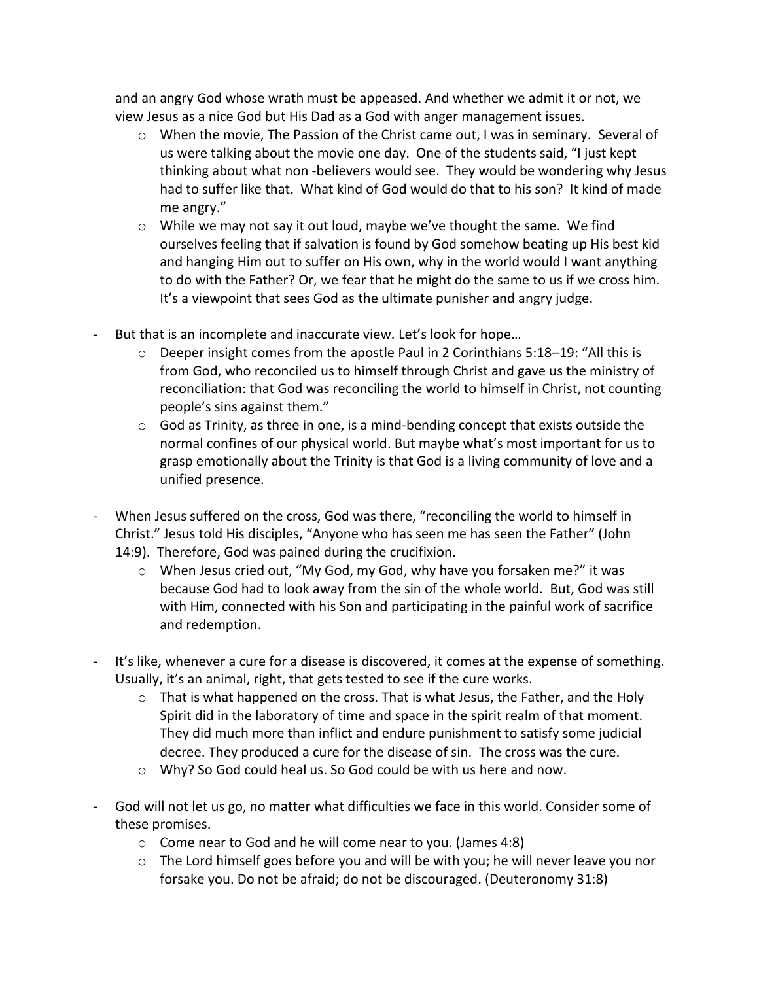and an angry God whose wrath must be appeased. And whether we admit it or not, we view Jesus as a nice God but His Dad as a God with anger management issues.

- o When the movie, The Passion of the Christ came out, I was in seminary. Several of us were talking about the movie one day. One of the students said, "I just kept thinking about what non -believers would see. They would be wondering why Jesus had to suffer like that. What kind of God would do that to his son? It kind of made me angry."
- $\circ$  While we may not say it out loud, maybe we've thought the same. We find ourselves feeling that if salvation is found by God somehow beating up His best kid and hanging Him out to suffer on His own, why in the world would I want anything to do with the Father? Or, we fear that he might do the same to us if we cross him. It's a viewpoint that sees God as the ultimate punisher and angry judge.
- But that is an incomplete and inaccurate view. Let's look for hope…
	- $\circ$  Deeper insight comes from the apostle Paul in 2 Corinthians 5:18–19: "All this is from God, who reconciled us to himself through Christ and gave us the ministry of reconciliation: that God was reconciling the world to himself in Christ, not counting people's sins against them."
	- $\circ$  God as Trinity, as three in one, is a mind-bending concept that exists outside the normal confines of our physical world. But maybe what's most important for us to grasp emotionally about the Trinity is that God is a living community of love and a unified presence.
- When Jesus suffered on the cross, God was there, "reconciling the world to himself in Christ." Jesus told His disciples, "Anyone who has seen me has seen the Father" (John 14:9). Therefore, God was pained during the crucifixion.
	- o When Jesus cried out, "My God, my God, why have you forsaken me?" it was because God had to look away from the sin of the whole world. But, God was still with Him, connected with his Son and participating in the painful work of sacrifice and redemption.
- It's like, whenever a cure for a disease is discovered, it comes at the expense of something. Usually, it's an animal, right, that gets tested to see if the cure works.
	- $\circ$  That is what happened on the cross. That is what Jesus, the Father, and the Holy Spirit did in the laboratory of time and space in the spirit realm of that moment. They did much more than inflict and endure punishment to satisfy some judicial decree. They produced a cure for the disease of sin. The cross was the cure.
	- o Why? So God could heal us. So God could be with us here and now.
- God will not let us go, no matter what difficulties we face in this world. Consider some of these promises.
	- o Come near to God and he will come near to you. (James 4:8)
	- o The Lord himself goes before you and will be with you; he will never leave you nor forsake you. Do not be afraid; do not be discouraged. (Deuteronomy 31:8)